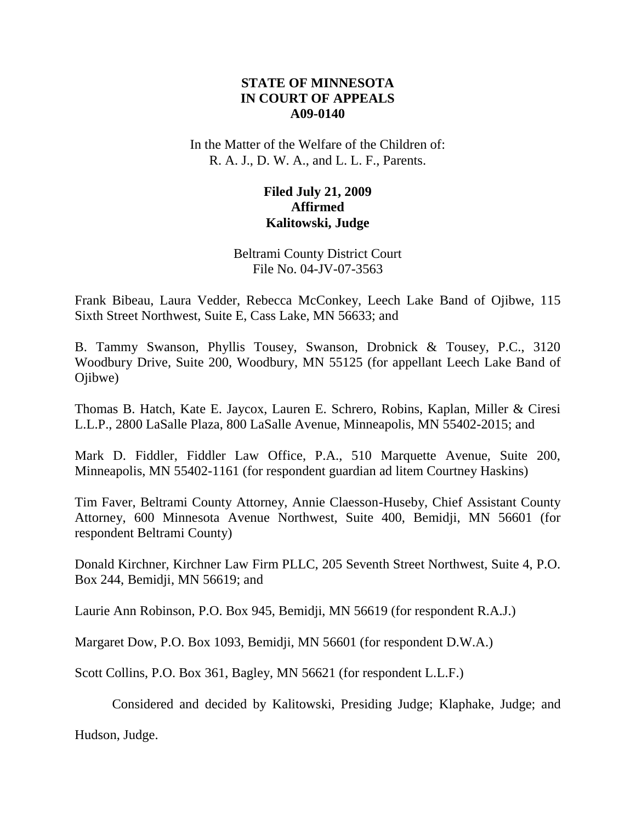# **STATE OF MINNESOTA IN COURT OF APPEALS A09-0140**

In the Matter of the Welfare of the Children of: R. A. J., D. W. A., and L. L. F., Parents.

# **Filed July 21, 2009 Affirmed Kalitowski, Judge**

Beltrami County District Court File No. 04-JV-07-3563

Frank Bibeau, Laura Vedder, Rebecca McConkey, Leech Lake Band of Ojibwe, 115 Sixth Street Northwest, Suite E, Cass Lake, MN 56633; and

B. Tammy Swanson, Phyllis Tousey, Swanson, Drobnick & Tousey, P.C., 3120 Woodbury Drive, Suite 200, Woodbury, MN 55125 (for appellant Leech Lake Band of Ojibwe)

Thomas B. Hatch, Kate E. Jaycox, Lauren E. Schrero, Robins, Kaplan, Miller & Ciresi L.L.P., 2800 LaSalle Plaza, 800 LaSalle Avenue, Minneapolis, MN 55402-2015; and

Mark D. Fiddler, Fiddler Law Office, P.A., 510 Marquette Avenue, Suite 200, Minneapolis, MN 55402-1161 (for respondent guardian ad litem Courtney Haskins)

Tim Faver, Beltrami County Attorney, Annie Claesson-Huseby, Chief Assistant County Attorney, 600 Minnesota Avenue Northwest, Suite 400, Bemidji, MN 56601 (for respondent Beltrami County)

Donald Kirchner, Kirchner Law Firm PLLC, 205 Seventh Street Northwest, Suite 4, P.O. Box 244, Bemidji, MN 56619; and

Laurie Ann Robinson, P.O. Box 945, Bemidji, MN 56619 (for respondent R.A.J.)

Margaret Dow, P.O. Box 1093, Bemidji, MN 56601 (for respondent D.W.A.)

Scott Collins, P.O. Box 361, Bagley, MN 56621 (for respondent L.L.F.)

Considered and decided by Kalitowski, Presiding Judge; Klaphake, Judge; and

Hudson, Judge.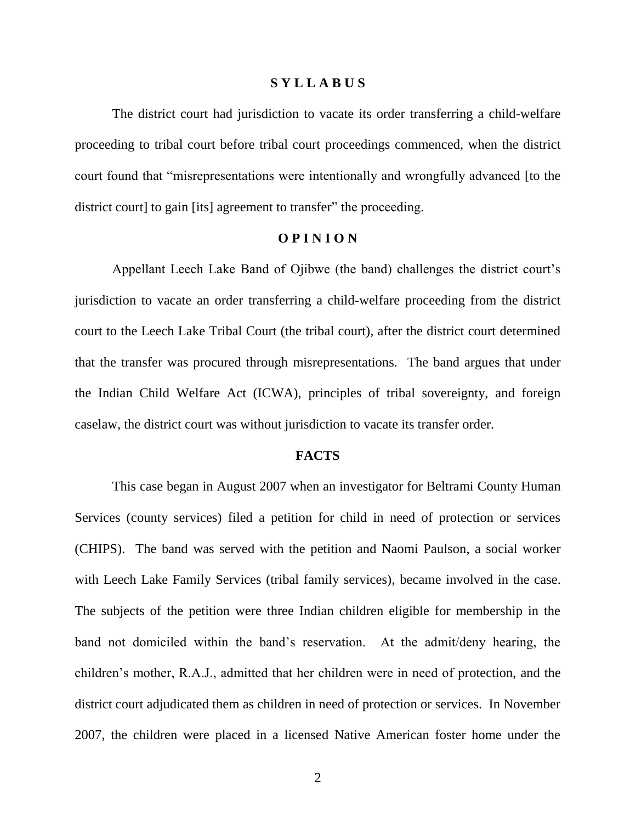#### **S Y L L A B U S**

The district court had jurisdiction to vacate its order transferring a child-welfare proceeding to tribal court before tribal court proceedings commenced, when the district court found that "misrepresentations were intentionally and wrongfully advanced [to the district court] to gain [its] agreement to transfer" the proceeding.

### **O P I N I O N**

Appellant Leech Lake Band of Ojibwe (the band) challenges the district court's jurisdiction to vacate an order transferring a child-welfare proceeding from the district court to the Leech Lake Tribal Court (the tribal court), after the district court determined that the transfer was procured through misrepresentations. The band argues that under the Indian Child Welfare Act (ICWA), principles of tribal sovereignty, and foreign caselaw, the district court was without jurisdiction to vacate its transfer order.

#### **FACTS**

This case began in August 2007 when an investigator for Beltrami County Human Services (county services) filed a petition for child in need of protection or services (CHIPS). The band was served with the petition and Naomi Paulson, a social worker with Leech Lake Family Services (tribal family services), became involved in the case. The subjects of the petition were three Indian children eligible for membership in the band not domiciled within the band"s reservation. At the admit/deny hearing, the children"s mother, R.A.J., admitted that her children were in need of protection, and the district court adjudicated them as children in need of protection or services. In November 2007, the children were placed in a licensed Native American foster home under the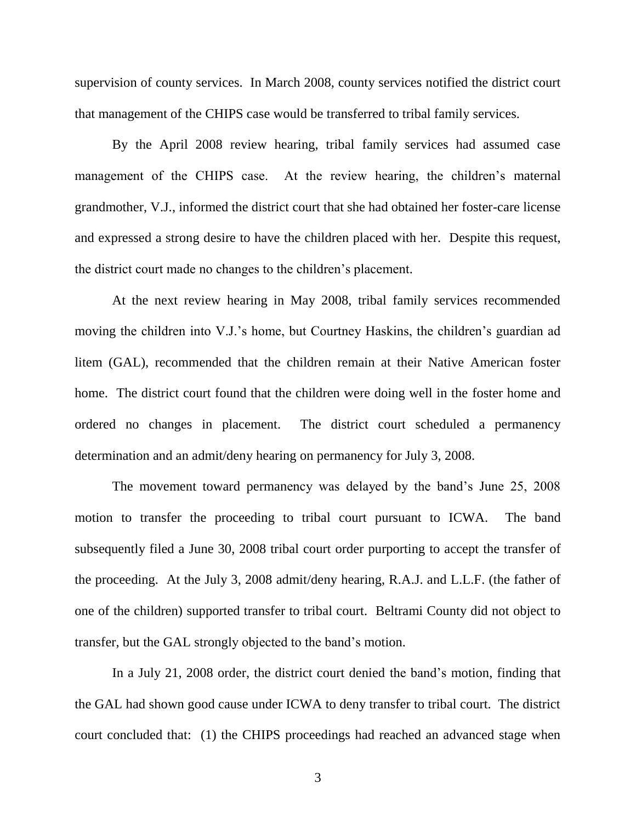supervision of county services. In March 2008, county services notified the district court that management of the CHIPS case would be transferred to tribal family services.

By the April 2008 review hearing, tribal family services had assumed case management of the CHIPS case. At the review hearing, the children's maternal grandmother, V.J., informed the district court that she had obtained her foster-care license and expressed a strong desire to have the children placed with her. Despite this request, the district court made no changes to the children"s placement.

At the next review hearing in May 2008, tribal family services recommended moving the children into V.J.'s home, but Courtney Haskins, the children's guardian ad litem (GAL), recommended that the children remain at their Native American foster home. The district court found that the children were doing well in the foster home and ordered no changes in placement. The district court scheduled a permanency determination and an admit/deny hearing on permanency for July 3, 2008.

The movement toward permanency was delayed by the band"s June 25, 2008 motion to transfer the proceeding to tribal court pursuant to ICWA. The band subsequently filed a June 30, 2008 tribal court order purporting to accept the transfer of the proceeding. At the July 3, 2008 admit/deny hearing, R.A.J. and L.L.F. (the father of one of the children) supported transfer to tribal court. Beltrami County did not object to transfer, but the GAL strongly objected to the band"s motion.

In a July 21, 2008 order, the district court denied the band"s motion, finding that the GAL had shown good cause under ICWA to deny transfer to tribal court. The district court concluded that: (1) the CHIPS proceedings had reached an advanced stage when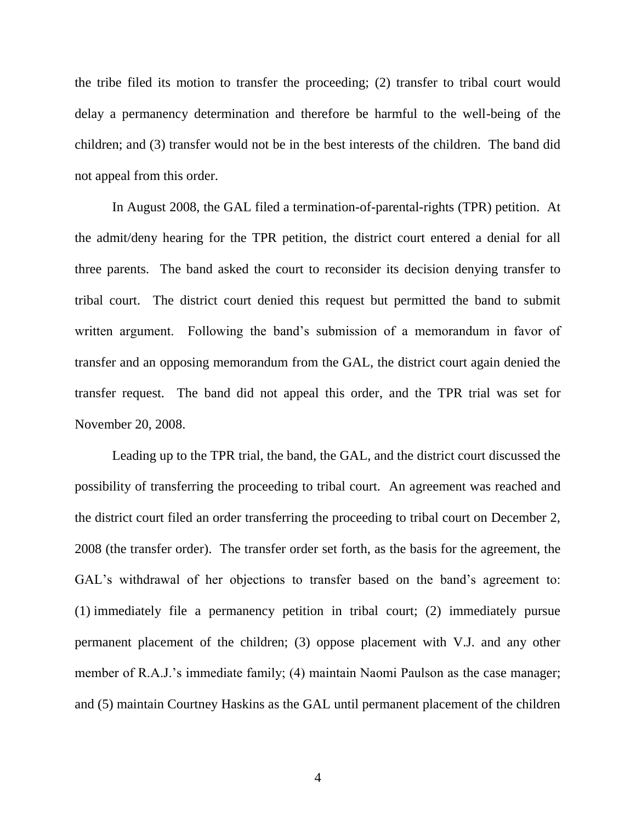the tribe filed its motion to transfer the proceeding; (2) transfer to tribal court would delay a permanency determination and therefore be harmful to the well-being of the children; and (3) transfer would not be in the best interests of the children. The band did not appeal from this order.

In August 2008, the GAL filed a termination-of-parental-rights (TPR) petition. At the admit/deny hearing for the TPR petition, the district court entered a denial for all three parents. The band asked the court to reconsider its decision denying transfer to tribal court. The district court denied this request but permitted the band to submit written argument. Following the band's submission of a memorandum in favor of transfer and an opposing memorandum from the GAL, the district court again denied the transfer request. The band did not appeal this order, and the TPR trial was set for November 20, 2008.

Leading up to the TPR trial, the band, the GAL, and the district court discussed the possibility of transferring the proceeding to tribal court. An agreement was reached and the district court filed an order transferring the proceeding to tribal court on December 2, 2008 (the transfer order). The transfer order set forth, as the basis for the agreement, the GAL's withdrawal of her objections to transfer based on the band's agreement to: (1) immediately file a permanency petition in tribal court; (2) immediately pursue permanent placement of the children; (3) oppose placement with V.J. and any other member of R.A.J.'s immediate family; (4) maintain Naomi Paulson as the case manager; and (5) maintain Courtney Haskins as the GAL until permanent placement of the children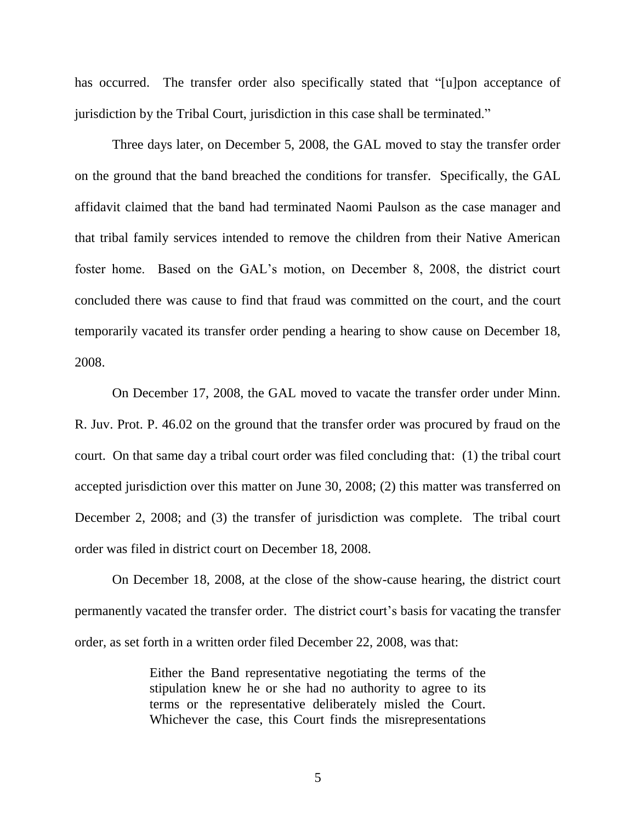has occurred. The transfer order also specifically stated that "[u]pon acceptance of jurisdiction by the Tribal Court, jurisdiction in this case shall be terminated."

Three days later, on December 5, 2008, the GAL moved to stay the transfer order on the ground that the band breached the conditions for transfer. Specifically, the GAL affidavit claimed that the band had terminated Naomi Paulson as the case manager and that tribal family services intended to remove the children from their Native American foster home. Based on the GAL"s motion, on December 8, 2008, the district court concluded there was cause to find that fraud was committed on the court, and the court temporarily vacated its transfer order pending a hearing to show cause on December 18, 2008.

On December 17, 2008, the GAL moved to vacate the transfer order under Minn. R. Juv. Prot. P. 46.02 on the ground that the transfer order was procured by fraud on the court. On that same day a tribal court order was filed concluding that: (1) the tribal court accepted jurisdiction over this matter on June 30, 2008; (2) this matter was transferred on December 2, 2008; and (3) the transfer of jurisdiction was complete. The tribal court order was filed in district court on December 18, 2008.

On December 18, 2008, at the close of the show-cause hearing, the district court permanently vacated the transfer order. The district court's basis for vacating the transfer order, as set forth in a written order filed December 22, 2008, was that:

> Either the Band representative negotiating the terms of the stipulation knew he or she had no authority to agree to its terms or the representative deliberately misled the Court. Whichever the case, this Court finds the misrepresentations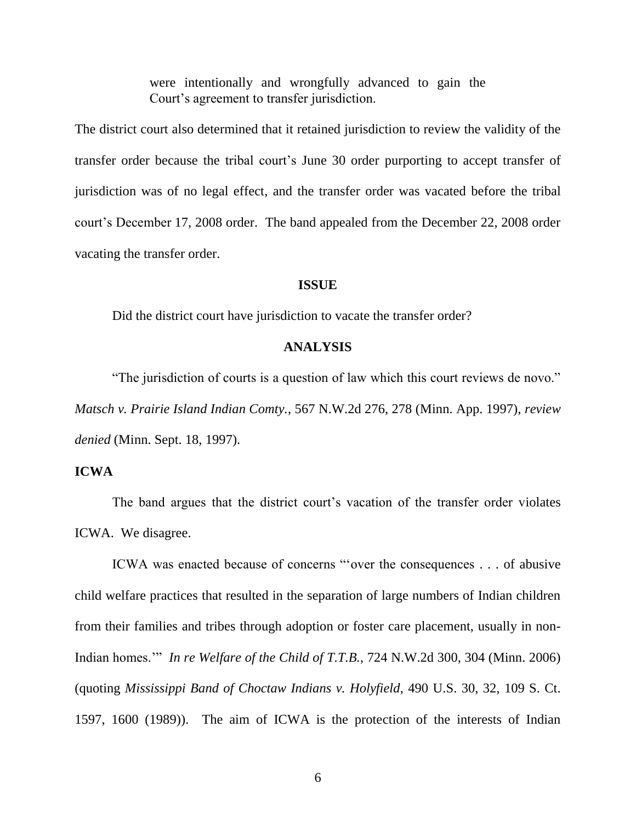were intentionally and wrongfully advanced to gain the Court's agreement to transfer jurisdiction.

The district court also determined that it retained jurisdiction to review the validity of the transfer order because the tribal court"s June 30 order purporting to accept transfer of jurisdiction was of no legal effect, and the transfer order was vacated before the tribal court"s December 17, 2008 order. The band appealed from the December 22, 2008 order vacating the transfer order.

#### **ISSUE**

Did the district court have jurisdiction to vacate the transfer order?

### **ANALYSIS**

"The jurisdiction of courts is a question of law which this court reviews de novo." *Matsch v. Prairie Island Indian Comty.*, 567 N.W.2d 276, 278 (Minn. App. 1997), *review denied* (Minn. Sept. 18, 1997).

## **ICWA**

The band argues that the district court's vacation of the transfer order violates ICWA. We disagree.

ICWA was enacted because of concerns ""over the consequences . . . of abusive child welfare practices that resulted in the separation of large numbers of Indian children from their families and tribes through adoption or foster care placement, usually in non-Indian homes."" *In re Welfare of the Child of T.T.B.*, 724 N.W.2d 300, 304 (Minn. 2006) (quoting *Mississippi Band of Choctaw Indians v. Holyfield*, 490 U.S. 30, 32, 109 S. Ct. 1597, 1600 (1989)). The aim of ICWA is the protection of the interests of Indian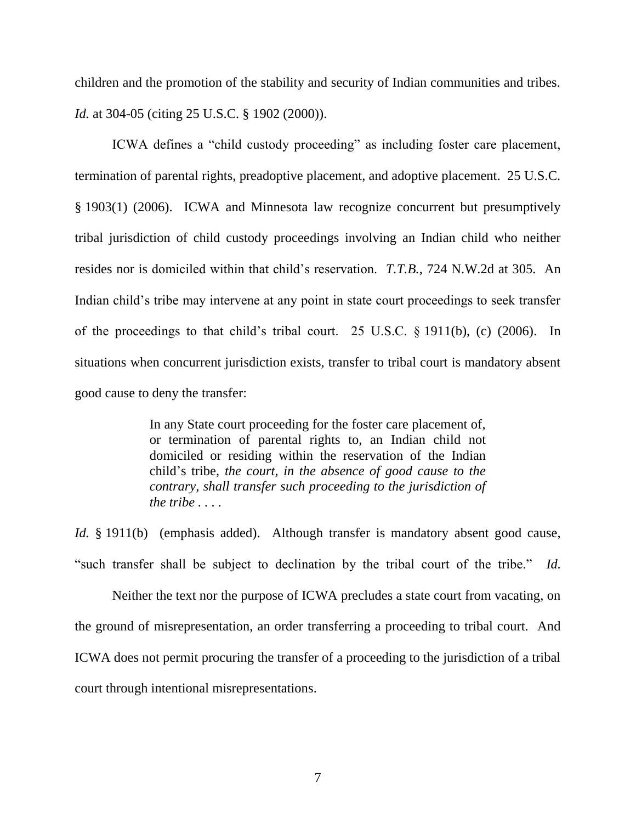children and the promotion of the stability and security of Indian communities and tribes. *Id.* at 304-05 (citing 25 U.S.C. § 1902 (2000)).

ICWA defines a "child custody proceeding" as including foster care placement, termination of parental rights, preadoptive placement, and adoptive placement. 25 U.S.C. § 1903(1) (2006). ICWA and Minnesota law recognize concurrent but presumptively tribal jurisdiction of child custody proceedings involving an Indian child who neither resides nor is domiciled within that child"s reservation. *T.T.B.*, 724 N.W.2d at 305. An Indian child"s tribe may intervene at any point in state court proceedings to seek transfer of the proceedings to that child"s tribal court. 25 U.S.C. § 1911(b), (c) (2006). In situations when concurrent jurisdiction exists, transfer to tribal court is mandatory absent good cause to deny the transfer:

> In any State court proceeding for the foster care placement of, or termination of parental rights to, an Indian child not domiciled or residing within the reservation of the Indian child"s tribe, *the court, in the absence of good cause to the contrary, shall transfer such proceeding to the jurisdiction of the tribe . . . .*

*Id.* § 1911(b) (emphasis added). Although transfer is mandatory absent good cause, "such transfer shall be subject to declination by the tribal court of the tribe." *Id.*

Neither the text nor the purpose of ICWA precludes a state court from vacating, on the ground of misrepresentation, an order transferring a proceeding to tribal court. And ICWA does not permit procuring the transfer of a proceeding to the jurisdiction of a tribal court through intentional misrepresentations.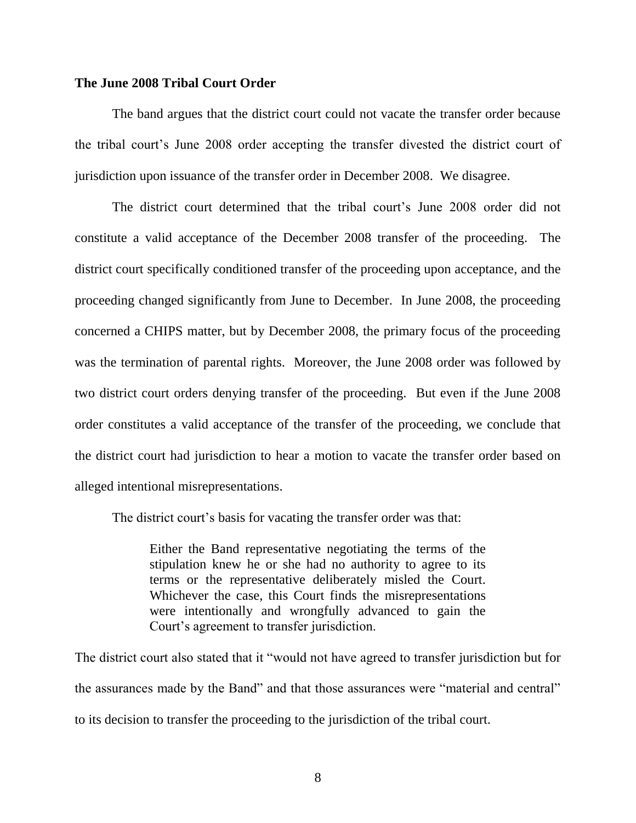#### **The June 2008 Tribal Court Order**

The band argues that the district court could not vacate the transfer order because the tribal court"s June 2008 order accepting the transfer divested the district court of jurisdiction upon issuance of the transfer order in December 2008. We disagree.

The district court determined that the tribal court"s June 2008 order did not constitute a valid acceptance of the December 2008 transfer of the proceeding. The district court specifically conditioned transfer of the proceeding upon acceptance, and the proceeding changed significantly from June to December. In June 2008, the proceeding concerned a CHIPS matter, but by December 2008, the primary focus of the proceeding was the termination of parental rights. Moreover, the June 2008 order was followed by two district court orders denying transfer of the proceeding. But even if the June 2008 order constitutes a valid acceptance of the transfer of the proceeding, we conclude that the district court had jurisdiction to hear a motion to vacate the transfer order based on alleged intentional misrepresentations.

The district court's basis for vacating the transfer order was that:

Either the Band representative negotiating the terms of the stipulation knew he or she had no authority to agree to its terms or the representative deliberately misled the Court. Whichever the case, this Court finds the misrepresentations were intentionally and wrongfully advanced to gain the Court's agreement to transfer jurisdiction.

The district court also stated that it "would not have agreed to transfer jurisdiction but for the assurances made by the Band" and that those assurances were "material and central" to its decision to transfer the proceeding to the jurisdiction of the tribal court.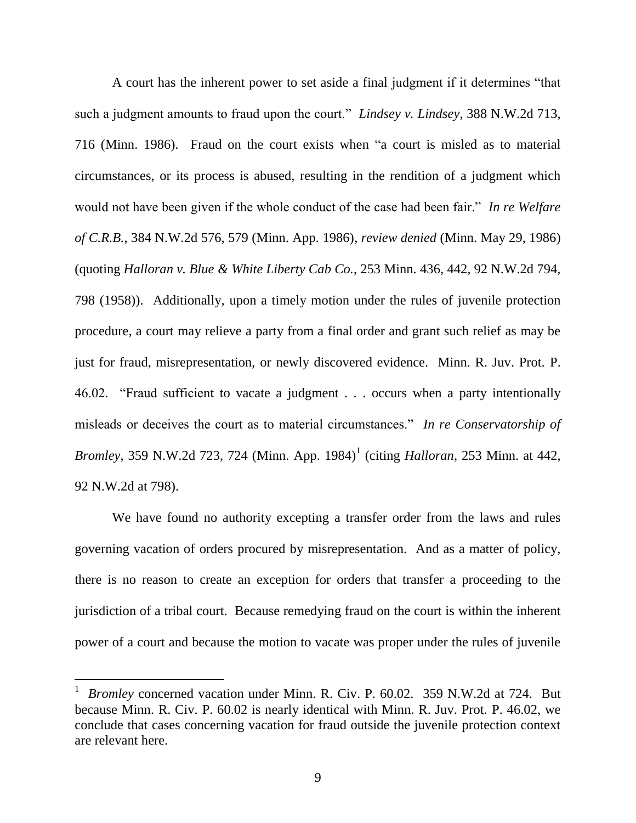A court has the inherent power to set aside a final judgment if it determines "that such a judgment amounts to fraud upon the court." *Lindsey v. Lindsey*, 388 N.W.2d 713, 716 (Minn. 1986). Fraud on the court exists when "a court is misled as to material circumstances, or its process is abused, resulting in the rendition of a judgment which would not have been given if the whole conduct of the case had been fair." *In re Welfare of C.R.B.*, 384 N.W.2d 576, 579 (Minn. App. 1986), *review denied* (Minn. May 29, 1986) (quoting *Halloran v. Blue & White Liberty Cab Co.*, 253 Minn. 436, 442, 92 N.W.2d 794, 798 (1958)). Additionally, upon a timely motion under the rules of juvenile protection procedure, a court may relieve a party from a final order and grant such relief as may be just for fraud, misrepresentation, or newly discovered evidence. Minn. R. Juv. Prot. P. 46.02. "Fraud sufficient to vacate a judgment . . . occurs when a party intentionally misleads or deceives the court as to material circumstances." *In re Conservatorship of Bromley*, 359 N.W.2d 723, 724 (Minn. App. 1984)<sup>1</sup> (citing *Halloran*, 253 Minn. at 442, 92 N.W.2d at 798).

We have found no authority excepting a transfer order from the laws and rules governing vacation of orders procured by misrepresentation. And as a matter of policy, there is no reason to create an exception for orders that transfer a proceeding to the jurisdiction of a tribal court. Because remedying fraud on the court is within the inherent power of a court and because the motion to vacate was proper under the rules of juvenile

<sup>1</sup> *Bromley* concerned vacation under Minn. R. Civ. P. 60.02. 359 N.W.2d at 724. But because Minn. R. Civ. P. 60.02 is nearly identical with Minn. R. Juv. Prot. P. 46.02, we conclude that cases concerning vacation for fraud outside the juvenile protection context are relevant here.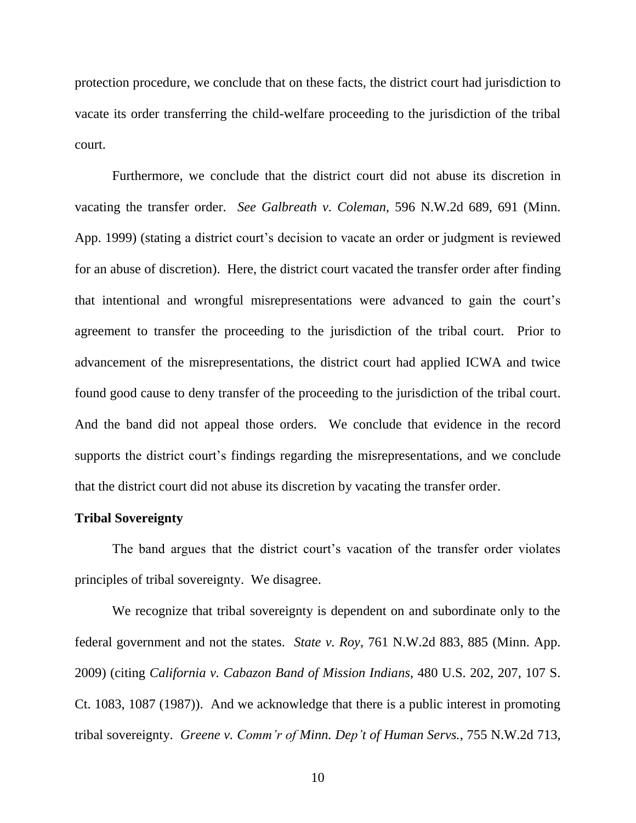protection procedure, we conclude that on these facts, the district court had jurisdiction to vacate its order transferring the child-welfare proceeding to the jurisdiction of the tribal court.

Furthermore, we conclude that the district court did not abuse its discretion in vacating the transfer order. *See Galbreath v. Coleman*, 596 N.W.2d 689, 691 (Minn. App. 1999) (stating a district court's decision to vacate an order or judgment is reviewed for an abuse of discretion). Here, the district court vacated the transfer order after finding that intentional and wrongful misrepresentations were advanced to gain the court"s agreement to transfer the proceeding to the jurisdiction of the tribal court. Prior to advancement of the misrepresentations, the district court had applied ICWA and twice found good cause to deny transfer of the proceeding to the jurisdiction of the tribal court. And the band did not appeal those orders. We conclude that evidence in the record supports the district court's findings regarding the misrepresentations, and we conclude that the district court did not abuse its discretion by vacating the transfer order.

### **Tribal Sovereignty**

The band argues that the district court's vacation of the transfer order violates principles of tribal sovereignty. We disagree.

We recognize that tribal sovereignty is dependent on and subordinate only to the federal government and not the states. *State v. Roy*, 761 N.W.2d 883, 885 (Minn. App. 2009) (citing *California v. Cabazon Band of Mission Indians*, 480 U.S. 202, 207, 107 S. Ct. 1083, 1087 (1987)). And we acknowledge that there is a public interest in promoting tribal sovereignty. *Greene v. Comm'r of Minn. Dep't of Human Servs.*, 755 N.W.2d 713,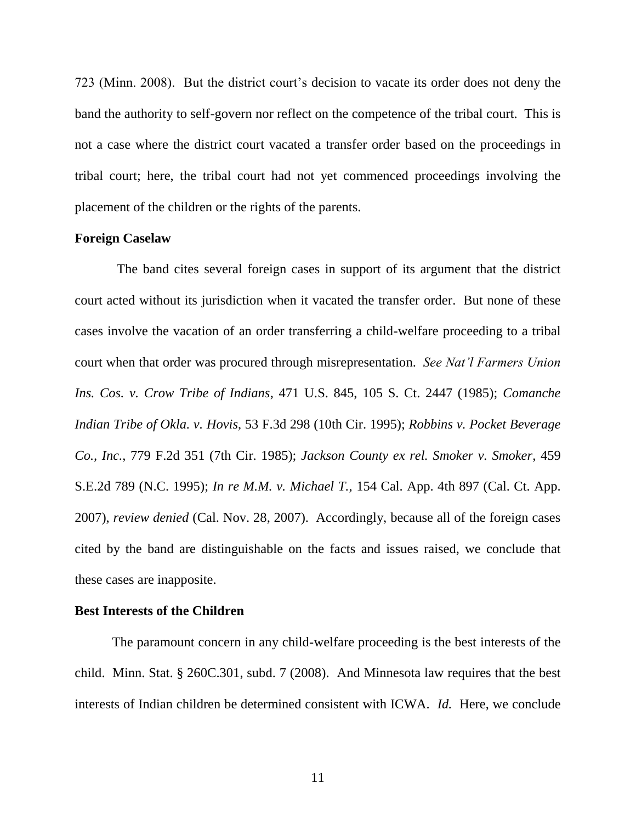723 (Minn. 2008). But the district court"s decision to vacate its order does not deny the band the authority to self-govern nor reflect on the competence of the tribal court. This is not a case where the district court vacated a transfer order based on the proceedings in tribal court; here, the tribal court had not yet commenced proceedings involving the placement of the children or the rights of the parents.

#### **Foreign Caselaw**

 The band cites several foreign cases in support of its argument that the district court acted without its jurisdiction when it vacated the transfer order. But none of these cases involve the vacation of an order transferring a child-welfare proceeding to a tribal court when that order was procured through misrepresentation. *See Nat'l Farmers Union Ins. Cos. v. Crow Tribe of Indians*, 471 U.S. 845, 105 S. Ct. 2447 (1985); *Comanche Indian Tribe of Okla. v. Hovis*, 53 F.3d 298 (10th Cir. 1995); *Robbins v. Pocket Beverage Co., Inc.*, 779 F.2d 351 (7th Cir. 1985); *Jackson County ex rel. Smoker v. Smoker*, 459 S.E.2d 789 (N.C. 1995); *In re M.M. v. Michael T.*, 154 Cal. App. 4th 897 (Cal. Ct. App. 2007), *review denied* (Cal. Nov. 28, 2007). Accordingly, because all of the foreign cases cited by the band are distinguishable on the facts and issues raised, we conclude that these cases are inapposite.

### **Best Interests of the Children**

The paramount concern in any child-welfare proceeding is the best interests of the child. Minn. Stat. § 260C.301, subd. 7 (2008). And Minnesota law requires that the best interests of Indian children be determined consistent with ICWA. *Id.* Here, we conclude